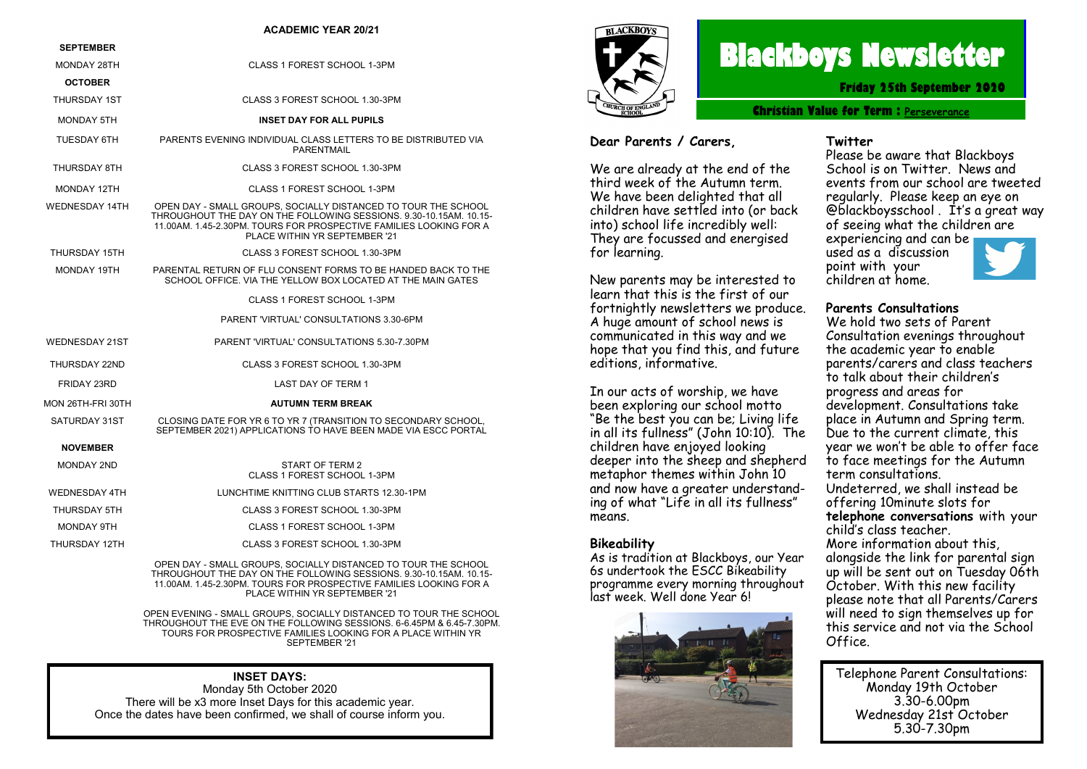#### **ACADEMIC YEAR 20/21**

| <b>SEPTEMBER</b>      |                                                                                                                                                                                                                                             |  |  |  |
|-----------------------|---------------------------------------------------------------------------------------------------------------------------------------------------------------------------------------------------------------------------------------------|--|--|--|
| MONDAY 28TH           | CLASS 1 FOREST SCHOOL 1-3PM                                                                                                                                                                                                                 |  |  |  |
| <b>OCTOBER</b>        |                                                                                                                                                                                                                                             |  |  |  |
| <b>THURSDAY 1ST</b>   | CLASS 3 FOREST SCHOOL 1.30-3PM                                                                                                                                                                                                              |  |  |  |
| <b>MONDAY 5TH</b>     | <b>INSET DAY FOR ALL PUPILS</b>                                                                                                                                                                                                             |  |  |  |
| TUESDAY 6TH           | PARENTS EVENING INDIVIDUAL CLASS LETTERS TO BE DISTRIBUTED VIA<br><b>PARFNTMAIL</b>                                                                                                                                                         |  |  |  |
| THURSDAY 8TH          | CLASS 3 FOREST SCHOOL 1.30-3PM                                                                                                                                                                                                              |  |  |  |
| <b>MONDAY 12TH</b>    | CLASS 1 FOREST SCHOOL 1-3PM                                                                                                                                                                                                                 |  |  |  |
| <b>WEDNESDAY 14TH</b> | OPEN DAY - SMALL GROUPS, SOCIALLY DISTANCED TO TOUR THE SCHOOL<br>THROUGHOUT THE DAY ON THE FOLLOWING SESSIONS, 9.30-10.15AM, 10.15-<br>11.00AM, 1.45-2.30PM, TOURS FOR PROSPECTIVE FAMILIES LOOKING FOR A<br>PLACE WITHIN YR SEPTEMBER '21 |  |  |  |
| THURSDAY 15TH         | CLASS 3 FOREST SCHOOL 1.30-3PM                                                                                                                                                                                                              |  |  |  |
| MONDAY 19TH           | PARENTAL RETURN OF FLU CONSENT FORMS TO BE HANDED BACK TO THE<br>SCHOOL OFFICE. VIA THE YELLOW BOX LOCATED AT THE MAIN GATES                                                                                                                |  |  |  |
|                       | CLASS 1 FOREST SCHOOL 1-3PM                                                                                                                                                                                                                 |  |  |  |
|                       | PARENT 'VIRTUAL' CONSULTATIONS 3.30-6PM                                                                                                                                                                                                     |  |  |  |
| <b>WEDNESDAY 21ST</b> | PARENT 'VIRTUAL' CONSULTATIONS 5.30-7.30PM                                                                                                                                                                                                  |  |  |  |
| <b>THURSDAY 22ND</b>  | CLASS 3 FOREST SCHOOL 1.30-3PM                                                                                                                                                                                                              |  |  |  |
| FRIDAY 23RD           | LAST DAY OF TERM 1                                                                                                                                                                                                                          |  |  |  |
| MON 26TH-FRI 30TH     | <b>AUTUMN TERM BREAK</b>                                                                                                                                                                                                                    |  |  |  |
| SATURDAY 31ST         | CLOSING DATE FOR YR 6 TO YR 7 (TRANSITION TO SECONDARY SCHOOL,<br>SEPTEMBER 2021) APPLICATIONS TO HAVE BEEN MADE VIA ESCC PORTAL                                                                                                            |  |  |  |
| <b>NOVEMBER</b>       |                                                                                                                                                                                                                                             |  |  |  |
| <b>MONDAY 2ND</b>     | START OF TERM 2<br>CLASS 1 FOREST SCHOOL 1-3PM                                                                                                                                                                                              |  |  |  |
| <b>WEDNESDAY 4TH</b>  | LUNCHTIME KNITTING CLUB STARTS 12.30-1PM                                                                                                                                                                                                    |  |  |  |
| THURSDAY 5TH          | CLASS 3 FOREST SCHOOL 1.30-3PM                                                                                                                                                                                                              |  |  |  |
| MONDAY 9TH            | CLASS 1 FOREST SCHOOL 1-3PM                                                                                                                                                                                                                 |  |  |  |

THURSDAY 12TH CLASS 3 FOREST SCHOOL 1.30-3PM

OPEN DAY - SMALL GROUPS, SOCIALLY DISTANCED TO TOUR THE SCHOOL THROUGHOUT THE DAY ON THE FOLLOWING SESSIONS. 9.30-10.15AM. 10.15- 11.00AM. 1.45-2.30PM. TOURS FOR PROSPECTIVE FAMILIES LOOKING FOR A PLACE WITHIN YR SEPTEMBER '21

OPEN EVENING - SMALL GROUPS, SOCIALLY DISTANCED TO TOUR THE SCHOOL THROUGHOUT THE EVE ON THE FOLLOWING SESSIONS. 6-6.45PM & 6.45-7.30PM. TOURS FOR PROSPECTIVE FAMILIES LOOKING FOR A PLACE WITHIN YR SEPTEMBER '21

#### **INSET DAYS:**

Monday 5th October 2020 There will be x3 more Inset Days for this academic year. Once the dates have been confirmed, we shall of course inform you.



# **Blackboys Newsletter**

**Friday 25th September 2020**

**Christian Value for Term : [Perseverance](https://www.google.co.uk/search?safe=strict&q=Perseverance&spell=1&sa=X&ved=0ahUKEwjdufaq38vdAhUHIsAKHUx5DOMQkeECCCgoAA)**

#### **Dear Parents / Carers,**

We are already at the end of the third week of the Autumn term. We have been delighted that all children have settled into (or back into) school life incredibly well: They are focussed and energised for learning.

New parents may be interested to learn that this is the first of our fortnightly newsletters we produce. A huge amount of school news is communicated in this way and we hope that you find this, and future editions, informative.

In our acts of worship, we have been exploring our school motto "Be the best you can be; Living life in all its fullness" (John 10:10). The children have enjoyed looking deeper into the sheep and shepherd metaphor themes within John 10 and now have a greater understanding of what "Life in all its fullness" means.

#### **Bikeability**

As is tradition at Blackboys, our Year 6s undertook the ESCC Bikeability programme every morning throughout last week. Well done Year 6!



#### **Twitter**

Please be aware that Blackboys School is on Twitter. News and events from our school are tweeted regularly. Please keep an eye on @blackboysschool . It's a great way of seeing what the children are experiencing and can be used as a discussion point with your children at home.

#### **Parents Consultations**

We hold two sets of Parent Consultation evenings throughout the academic year to enable parents/carers and class teachers to talk about their children's progress and areas for development. Consultations take place in Autumn and Spring term. Due to the current climate, this year we won't be able to offer face to face meetings for the Autumn term consultations. Undeterred, we shall instead be offering 10minute slots for **telephone conversations** with your child's class teacher. More information about this, alongside the link for parental sign up will be sent out on Tuesday 06th October. With this new facility please note that all Parents/Carers will need to sign themselves up for this service and not via the School Office.

Telephone Parent Consultations: Monday 19th October 3.30-6.00pm Wednesday 21st October 5.30-7.30pm